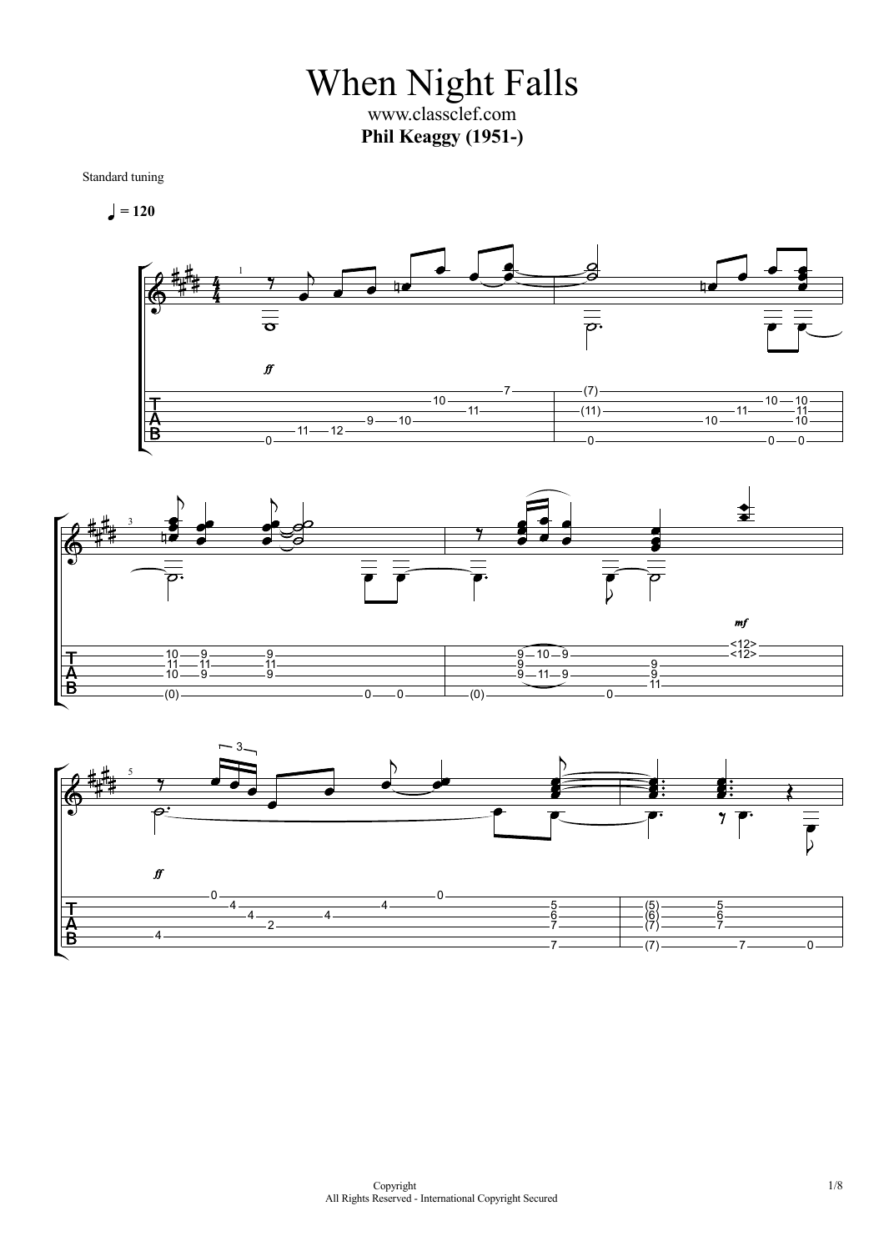When Night Falls www.classclef.com **Phil Keaggy (1951-)**

Standard tuning

$$
\blacksquare = 120
$$





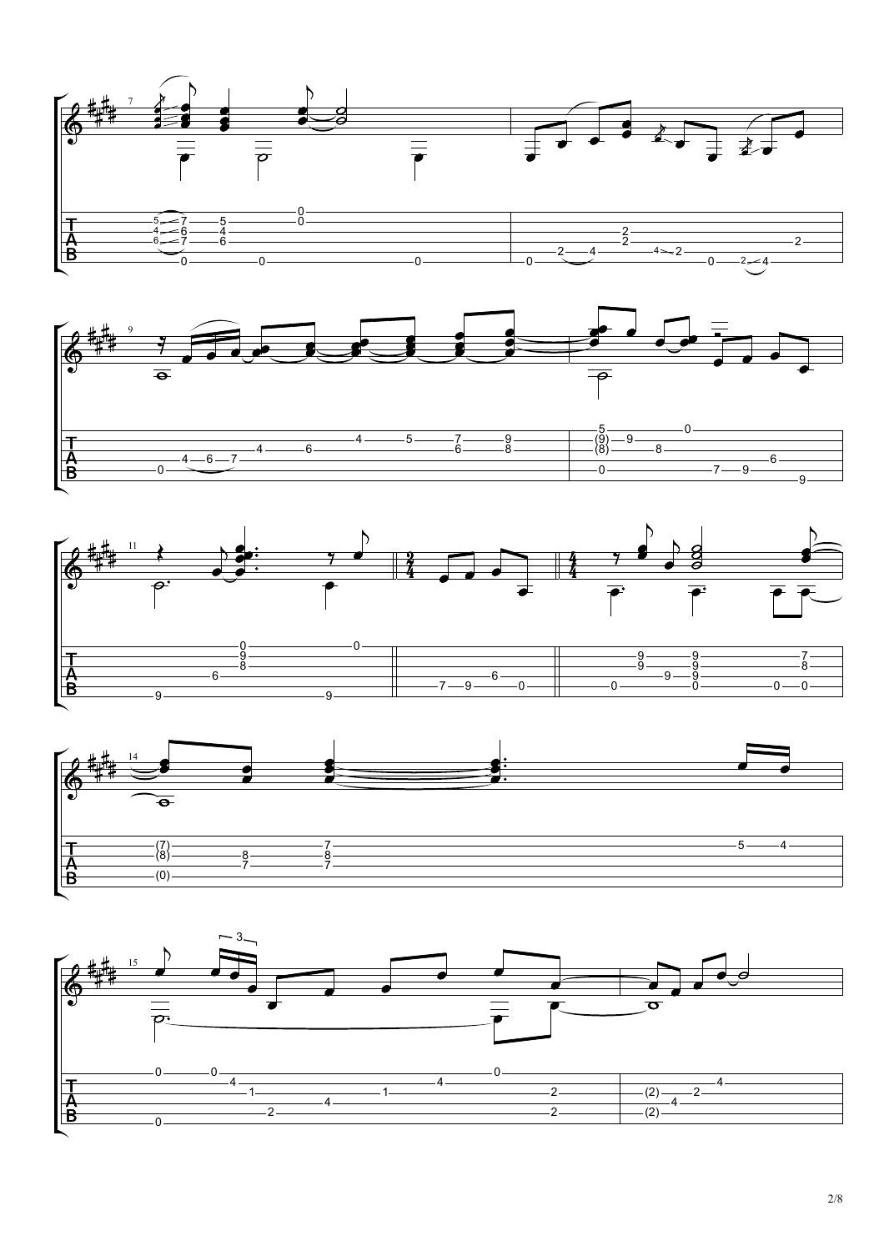







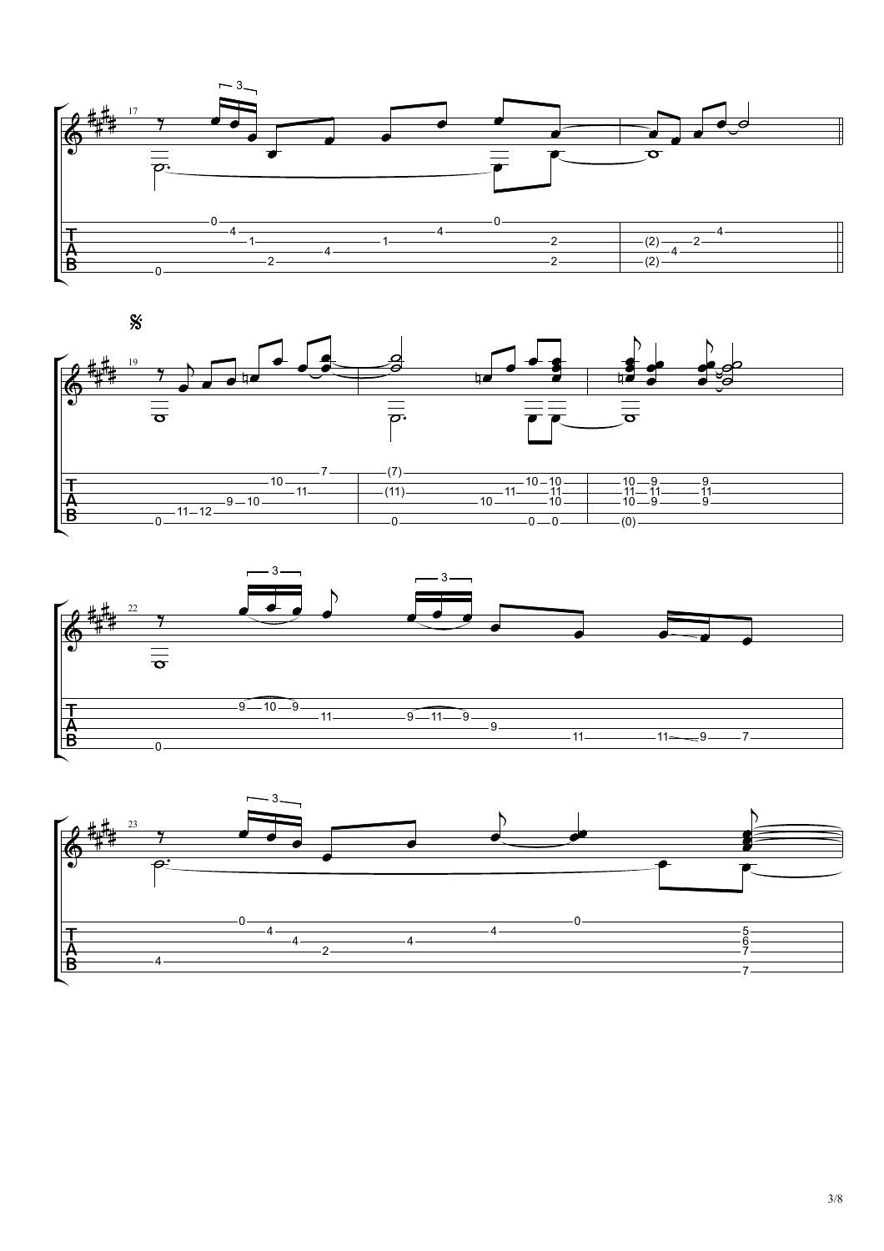

 $\mathbf{\%}$ 





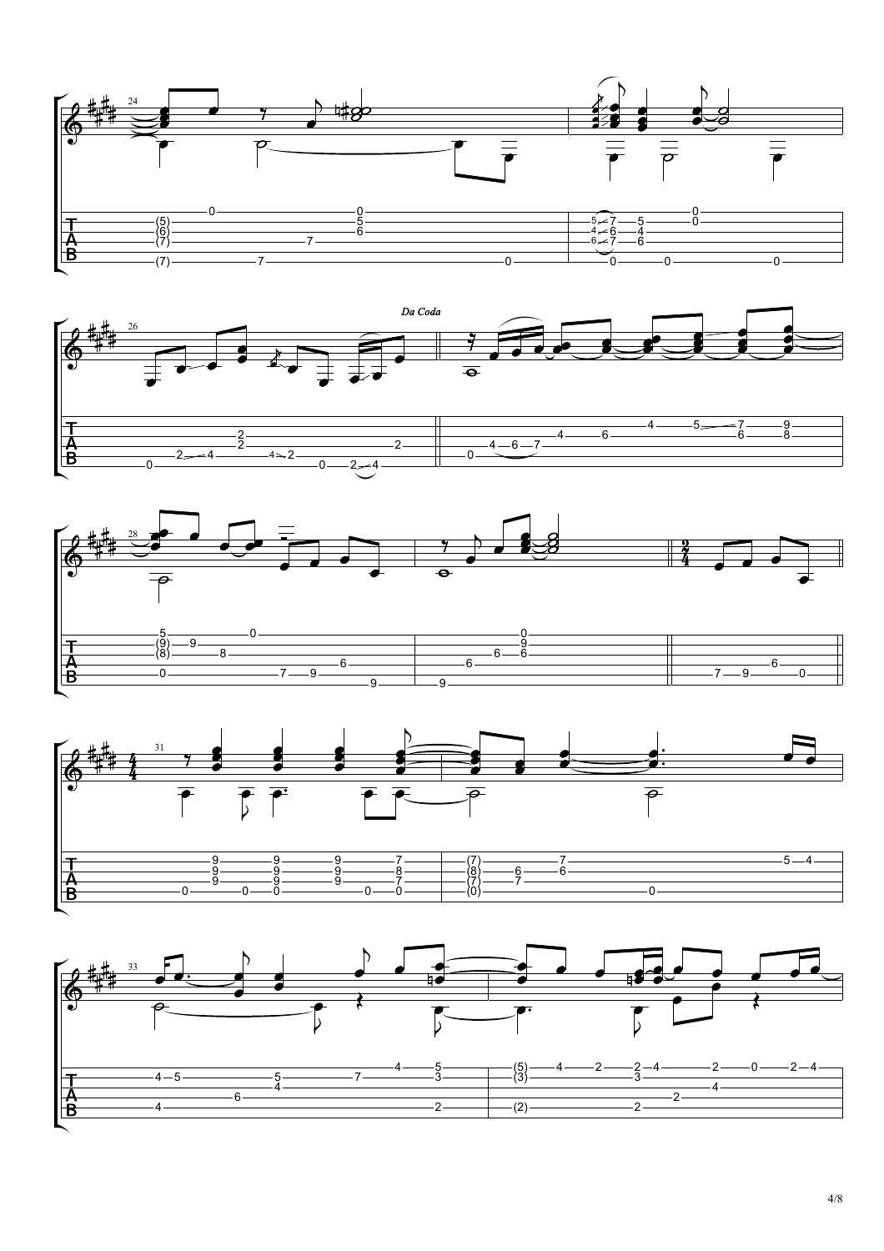







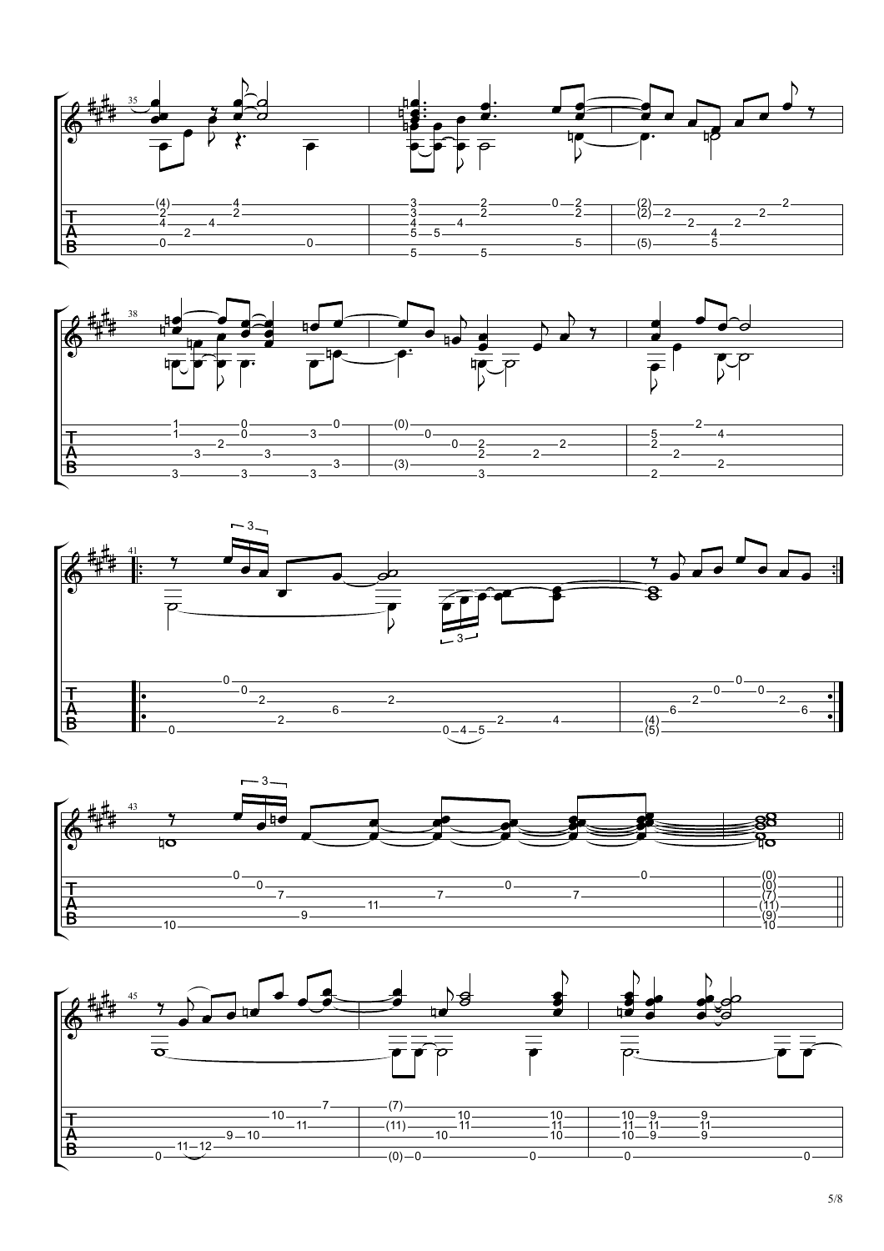







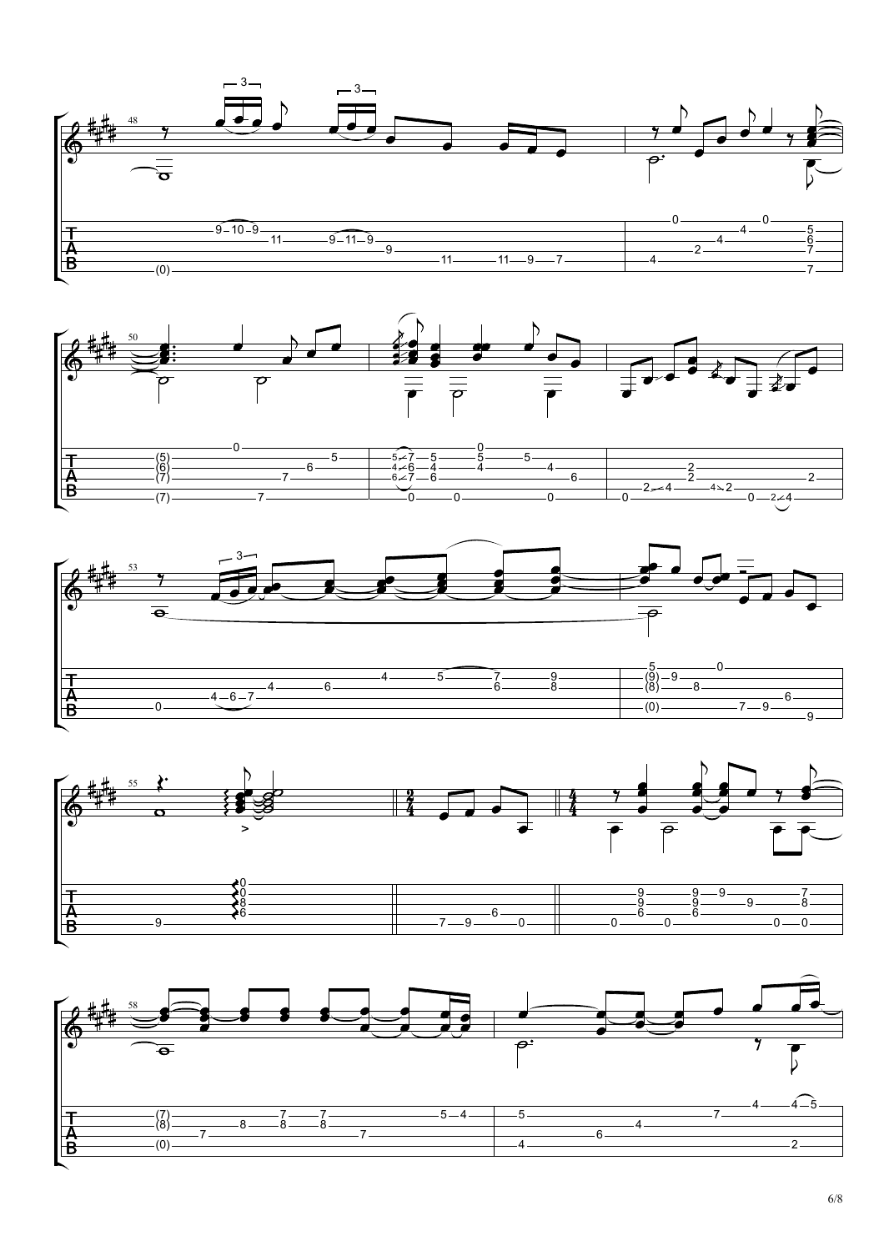







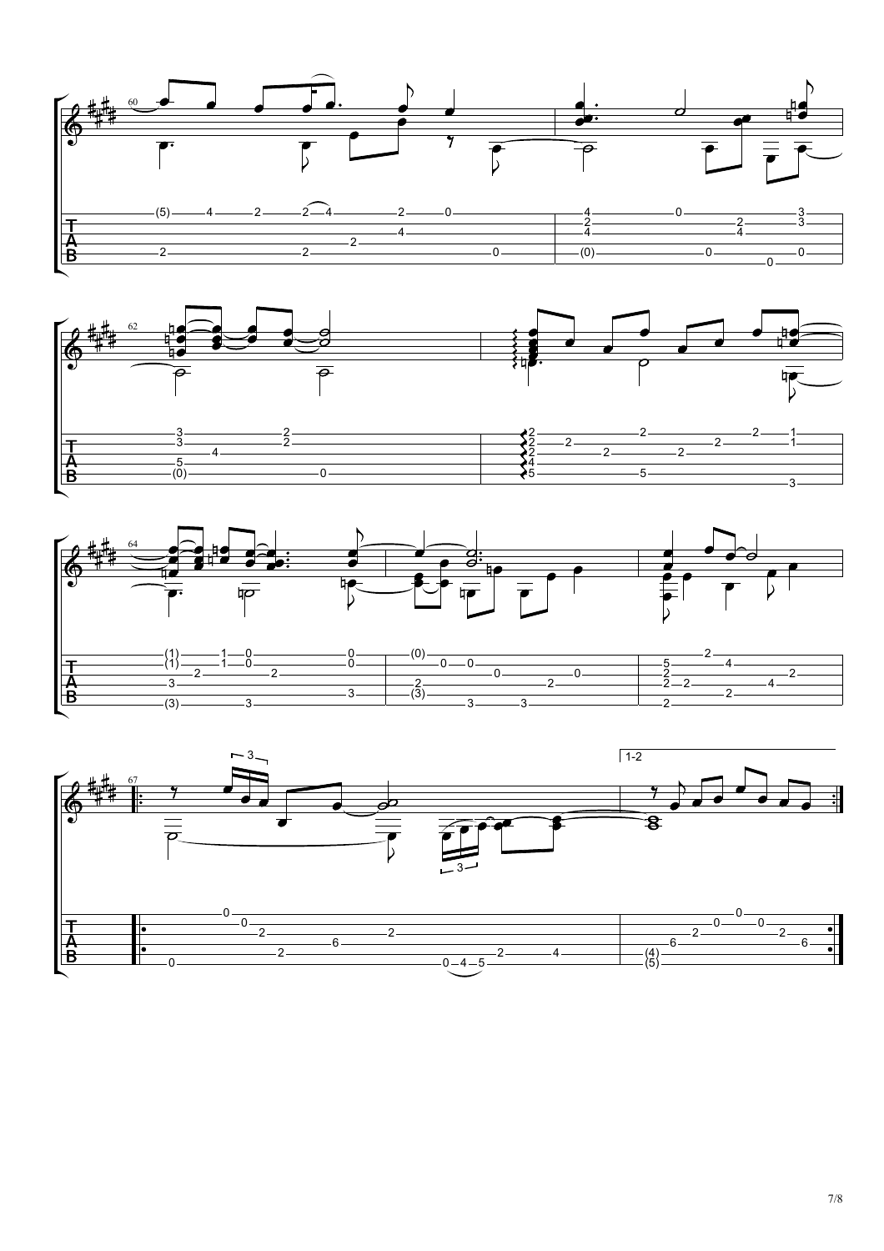